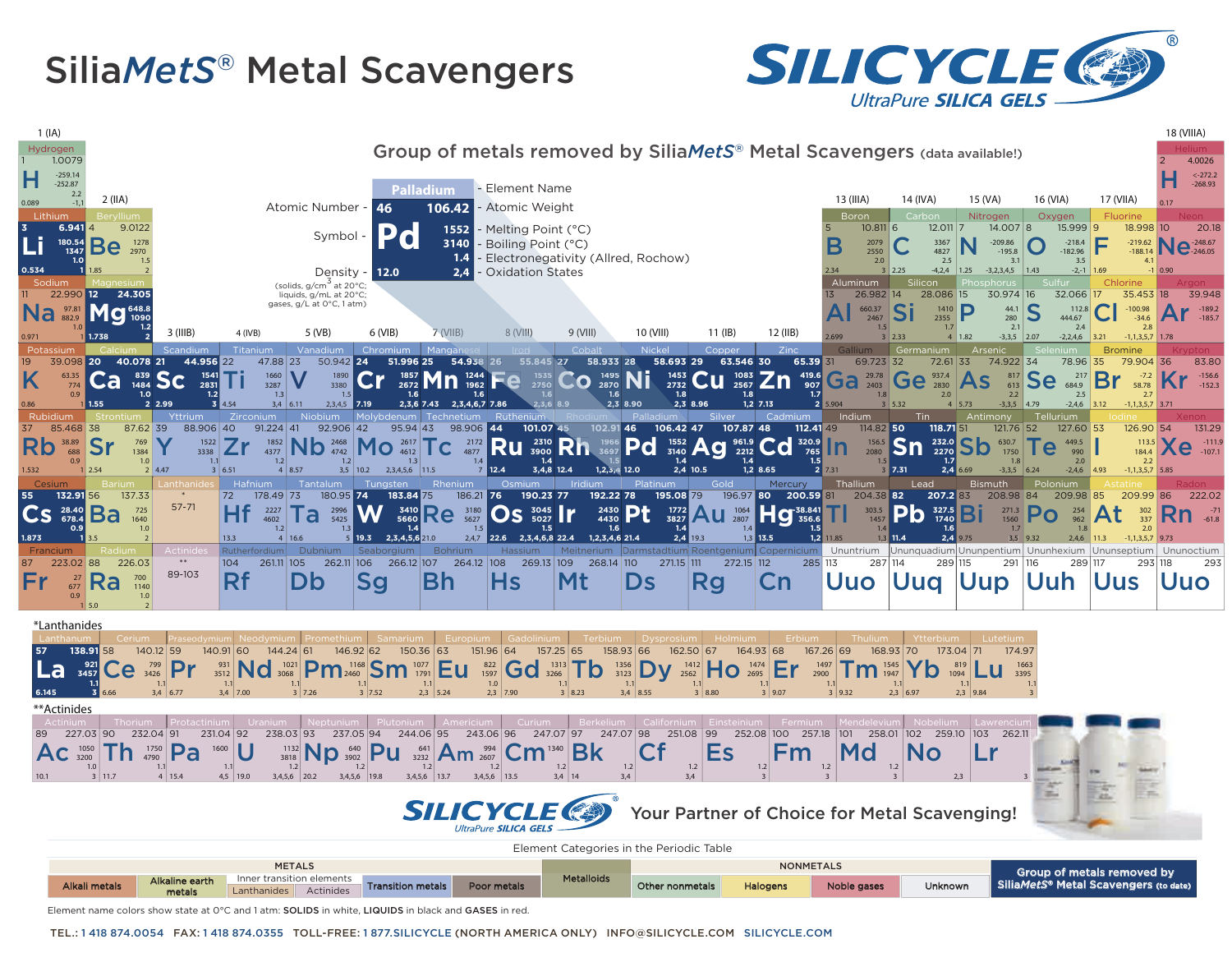## Silia*MetS®* Metal Scavengers





Element name colors show state at 0°C and 1 atm: SOLIDS in white, LIQUIDS in black and GASES in red

TEL.: 1 418 874.0054 FAX: 1 418 874.0355 TOLL-FREE: 1 877.SILICYCLE (NORTH AMERICA ONLY) INFO@SILICYCLE.COM SILICYCLE.COM